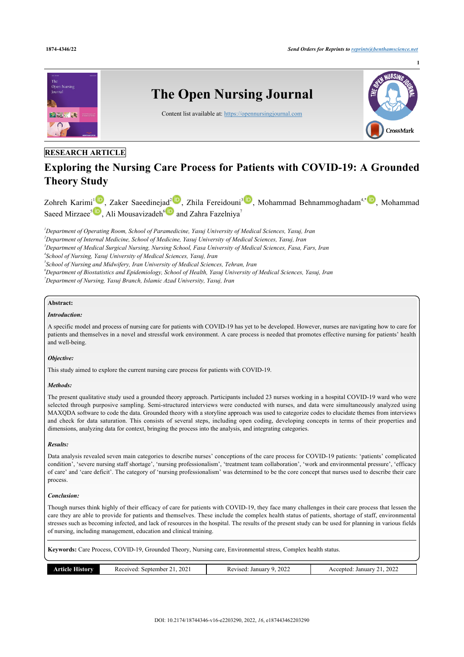

# **RESEARCH ARTICLE**

# **Exploring the Nursing Care Process for Patients with COVID-19: A Grounded Theory Study**

Zohreh Karimi<sup>[1](#page-0-0)</sup><sup>1</sup>, Zaker Saeedinejad<sup>[2](#page-0-1)10</sup>[,](http://orcid.org/0000-0002-6493-7025) Zhila Fereidouni<sup>[3](#page-0-2)10</sup>, Mohammad Behnammoghadam<sup>[4](#page-0-3),[\\*](#page-1-0)10</sup>, Mohammad Saeed Mirzaee<sup>[5](#page-0-4)</sup><sup>10</sup>[,](http://orcid.org/0000-0003-0372-1383) Ali Mousavizadeh<sup>[6](#page-0-5)10</sup>and Zahra Fazelniya<sup>[7](#page-0-6)</sup>

<span id="page-0-4"></span><span id="page-0-3"></span><span id="page-0-2"></span><span id="page-0-1"></span><span id="page-0-0"></span>*Department of Operating Room, School of Paramedicine, Yasuj University of Medical Sciences, Yasuj, Iran Department of Internal Medicine, School of Medicine, Yasuj University of Medical Sciences, Yasuj, Iran Department of Medical Surgical Nursing, Nursing School, Fasa University of Medical Sciences, Fasa, Fars, Iran School of Nursing, Yasuj University of Medical Sciences, Yasuj, Iran School of Nursing and Midwifery, Iran University of Medical Sciences, Tehran, Iran Department of Biostatistics and Epidemiology, School of Health, Yasuj University of Medical Sciences, Yasuj, Iran Department of Nursing, Yasuj Branch, Islamic Azad University, Yasuj, Iran*

# <span id="page-0-6"></span><span id="page-0-5"></span>**Abstract:**

#### *Introduction:*

A specific model and process of nursing care for patients with COVID-19 has yet to be developed. However, nurses are navigating how to care for patients and themselves in a novel and stressful work environment. A care process is needed that promotes effective nursing for patients' health and well-being.

#### *Objective:*

This study aimed to explore the current nursing care process for patients with COVID-19.

#### *Methods:*

The present qualitative study used a grounded theory approach. Participants included 23 nurses working in a hospital COVID-19 ward who were selected through purposive sampling. Semi-structured interviews were conducted with nurses, and data were simultaneously analyzed using MAXQDA software to code the data. Grounded theory with a storyline approach was used to categorize codes to elucidate themes from interviews and check for data saturation. This consists of several steps, including open coding, developing concepts in terms of their properties and dimensions, analyzing data for context, bringing the process into the analysis, and integrating categories.

#### *Results:*

Data analysis revealed seven main categories to describe nurses' conceptions of the care process for COVID-19 patients: 'patients' complicated condition', 'severe nursing staff shortage', 'nursing professionalism', 'treatment team collaboration', 'work and environmental pressure', 'efficacy of care' and 'care deficit'. The category of 'nursing professionalism' was determined to be the core concept that nurses used to describe their care process.

#### *Conclusion:*

Though nurses think highly of their efficacy of care for patients with COVID-19, they face many challenges in their care process that lessen the care they are able to provide for patients and themselves. These include the complex health status of patients, shortage of staff, environmental stresses such as becoming infected, and lack of resources in the hospital. The results of the present study can be used for planning in various fields of nursing, including management, education and clinical training.

**Keywords:** Care Process, COVID-19, Grounded Theory, Nursing care, Environmental stress, Complex health status.

| --<br>History<br>rticle | 202<br>eceived<br>September | 2022<br>January<br>Revised<br>$-0-1$ | 2022<br>January<br>Accepted |
|-------------------------|-----------------------------|--------------------------------------|-----------------------------|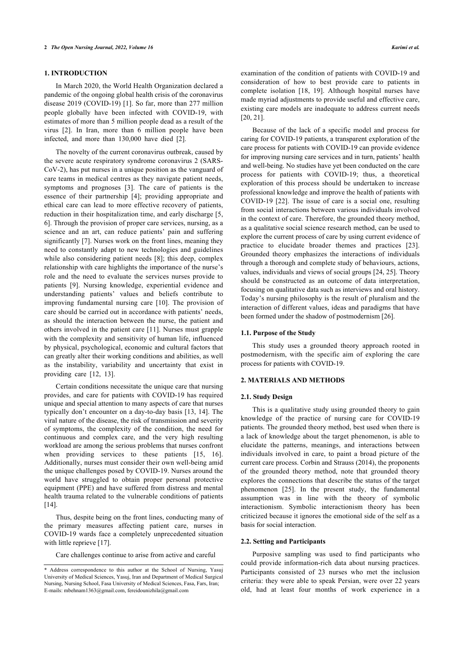# **1. INTRODUCTION**

In March 2020, the World Health Organization declared a pandemic of the ongoing global health crisis of the coronavirus disease 2019 (COVID-19) [\[1\]](#page-8-0). So far, more than 277 million people globally have been infected with COVID-19, with estimates of more than 5 million people dead as a result of the virus[[2\]](#page-8-1). In Iran, more than 6 million people have been infected, and more than 130,000 have died [\[2\]](#page-8-1).

The novelty of the current coronavirus outbreak, caused by the severe acute respiratory syndrome coronavirus 2 (SARS-CoV-2), has put nurses in a unique position as the vanguard of care teams in medical centres as they navigate patient needs, symptoms and prognoses[[3\]](#page-8-2). The care of patients is the essence of their partnership[[4](#page-8-3)]; providing appropriate and ethical care can lead to more effective recovery of patients, reduction in their hospitalization time, and early discharge [\[5](#page-8-4), [6](#page-8-5)]. Through the provision of proper care services, nursing, as a science and an art, can reduce patients' pain and suffering significantly [[7](#page-8-6)]. Nurses work on the front lines, meaning they need to constantly adapt to new technologies and guidelines while also considering patient needs [\[8\]](#page-8-7); this deep, complex relationship with care highlights the importance of the nurse's role and the need to evaluate the services nurses provide to patients[[9](#page-8-8)]. Nursing knowledge, experiential evidence and understanding patients' values and beliefs contribute to improving fundamental nursing care[[10](#page-8-9)]. The provision of care should be carried out in accordance with patients' needs, as should the interaction between the nurse, the patient and others involved in the patient care [[11\]](#page-8-10). Nurses must grapple with the complexity and sensitivity of human life, influenced by physical, psychological, economic and cultural factors that can greatly alter their working conditions and abilities, as well as the instability, variability and uncertainty that exist in providing care [\[12](#page-8-11), [13\]](#page-8-12).

Certain conditions necessitate the unique care that nursing provides, and care for patients with COVID-19 has required unique and special attention to many aspects of care that nurses typically don't encounter on a day-to-day basis [[13](#page-8-12), [14\]](#page-8-13). The viral nature of the disease, the risk of transmission and severity of symptoms, the complexity of the condition, the need for continuous and complex care, and the very high resulting workload are among the serious problems that nurses confront whenproviding services to these patients [[15,](#page-8-14) [16\]](#page-8-15). Additionally, nurses must consider their own well-being amid the unique challenges posed by COVID-19. Nurses around the world have struggled to obtain proper personal protective equipment (PPE) and have suffered from distress and mental health trauma related to the vulnerable conditions of patients  $[14]$  $[14]$ .

Thus, despite being on the front lines, conducting many of the primary measures affecting patient care, nurses in COVID-19 wards face a completely unprecedented situation with little reprieve [\[17](#page-8-16)].

Care challenges continue to arise from active and careful

examination of the condition of patients with COVID-19 and consideration of how to best provide care to patients in complete isolation [\[18](#page-8-17), [19](#page-8-18)]. Although hospital nurses have made myriad adjustments to provide useful and effective care, existing care models are inadequate to address current needs [[20,](#page-8-19) [21](#page-8-20)].

Because of the lack of a specific model and process for caring for COVID-19 patients, a transparent exploration of the care process for patients with COVID-19 can provide evidence for improving nursing care services and in turn, patients' health and well-being. No studies have yet been conducted on the care process for patients with COVID-19; thus, a theoretical exploration of this process should be undertaken to increase professional knowledge and improve the health of patients with COVID-19[[22](#page-8-21)]. The issue of care is a social one, resulting from social interactions between various individuals involved in the context of care. Therefore, the grounded theory method, as a qualitative social science research method, can be used to explore the current process of care by using current evidence of practice to elucidate broader themes and practices[[23](#page-8-22)]. Grounded theory emphasizes the interactions of individuals through a thorough and complete study of behaviours, actions, values, individuals and views of social groups [[24](#page-8-23), [25\]](#page-8-24). Theory should be constructed as an outcome of data interpretation, focusing on qualitative data such as interviews and oral history. Today's nursing philosophy is the result of pluralism and the interaction of different values, ideas and paradigms that have been formed under the shadow of postmodernism [[26\]](#page-8-25).

#### **1.1. Purpose of the Study**

This study uses a grounded theory approach rooted in postmodernism, with the specific aim of exploring the care process for patients with COVID-19.

#### **2. MATERIALS AND METHODS**

# **2.1. Study Design**

This is a qualitative study using grounded theory to gain knowledge of the practice of nursing care for COVID-19 patients. The grounded theory method, best used when there is a lack of knowledge about the target phenomenon, is able to elucidate the patterns, meanings, and interactions between individuals involved in care, to paint a broad picture of the current care process. Corbin and Strauss (2014), the proponents of the grounded theory method, note that grounded theory explores the connections that describe the status of the target phenomenon [\[25](#page-8-24)]. In the present study, the fundamental assumption was in line with the theory of symbolic interactionism. Symbolic interactionism theory has been criticized because it ignores the emotional side of the self as a basis for social interaction.

# **2.2. Setting and Participants**

Purposive sampling was used to find participants who could provide information-rich data about nursing practices. Participants consisted of 23 nurses who met the inclusion criteria: they were able to speak Persian, were over 22 years old, had at least four months of work experience in a

<span id="page-1-0"></span><sup>\*</sup> Address correspondence to this author at the School of Nursing, Yasuj University of Medical Sciences, Yasuj, Iran and Department of Medical Surgical Nursing, Nursing School, Fasa University of Medical Sciences, Fasa, Fars, Iran; E-mails: [mbehnam1363@gmail.com,](mailto:mbehnam1363@gmail.com) [fereidounizhila@gmail.com](mailto:fereidounizhila@gmail.com)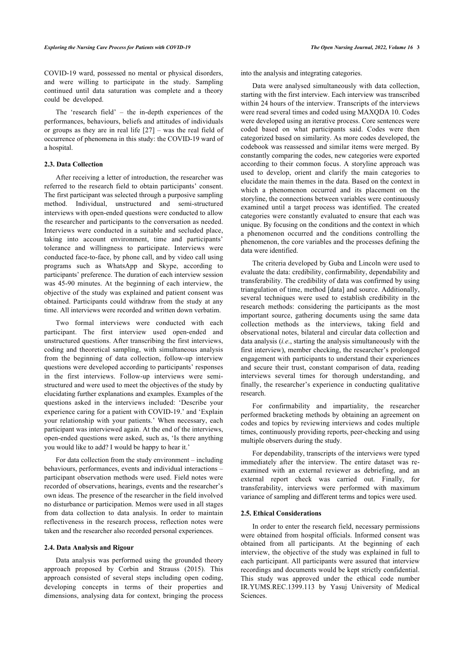COVID-19 ward, possessed no mental or physical disorders, and were willing to participate in the study. Sampling continued until data saturation was complete and a theory could be developed.

The 'research field' – the in-depth experiences of the performances, behaviours, beliefs and attitudes of individuals or groups as they are in real life  $[27]$  – was the real field of occurrence of phenomena in this study: the COVID-19 ward of a hospital.

# **2.3. Data Collection**

After receiving a letter of introduction, the researcher was referred to the research field to obtain participants' consent. The first participant was selected through a purposive sampling method. Individual, unstructured and semi-structured interviews with open-ended questions were conducted to allow the researcher and participants to the conversation as needed. Interviews were conducted in a suitable and secluded place, taking into account environment, time and participants' tolerance and willingness to participate. Interviews were conducted face-to-face, by phone call, and by video call using programs such as WhatsApp and Skype, according to participants' preference. The duration of each interview session was 45-90 minutes. At the beginning of each interview, the objective of the study was explained and patient consent was obtained. Participants could withdraw from the study at any time. All interviews were recorded and written down verbatim.

Two formal interviews were conducted with each participant. The first interview used open-ended and unstructured questions. After transcribing the first interviews, coding and theoretical sampling, with simultaneous analysis from the beginning of data collection, follow-up interview questions were developed according to participants' responses in the first interviews. Follow-up interviews were semistructured and were used to meet the objectives of the study by elucidating further explanations and examples. Examples of the questions asked in the interviews included: 'Describe your experience caring for a patient with COVID-19.' and 'Explain your relationship with your patients.' When necessary, each participant was interviewed again. At the end of the interviews, open-ended questions were asked, such as, 'Is there anything you would like to add? I would be happy to hear it.'

For data collection from the study environment – including behaviours, performances, events and individual interactions – participant observation methods were used. Field notes were recorded of observations, hearings, events and the researcher's own ideas. The presence of the researcher in the field involved no disturbance or participation. Memos were used in all stages from data collection to data analysis. In order to maintain reflectiveness in the research process, reflection notes were taken and the researcher also recorded personal experiences.

#### **2.4. Data Analysis and Rigour**

Data analysis was performed using the grounded theory approach proposed by Corbin and Strauss (2015). This approach consisted of several steps including open coding, developing concepts in terms of their properties and dimensions, analysing data for context, bringing the process

into the analysis and integrating categories.

Data were analysed simultaneously with data collection, starting with the first interview. Each interview was transcribed within 24 hours of the interview. Transcripts of the interviews were read several times and coded using MAXQDA 10. Codes were developed using an iterative process. Core sentences were coded based on what participants said. Codes were then categorized based on similarity. As more codes developed, the codebook was reassessed and similar items were merged. By constantly comparing the codes, new categories were exported according to their common focus. A storyline approach was used to develop, orient and clarify the main categories to elucidate the main themes in the data. Based on the context in which a phenomenon occurred and its placement on the storyline, the connections between variables were continuously examined until a target process was identified. The created categories were constantly evaluated to ensure that each was unique. By focusing on the conditions and the context in which a phenomenon occurred and the conditions controlling the phenomenon, the core variables and the processes defining the data were identified.

The criteria developed by Guba and Lincoln were used to evaluate the data: credibility, confirmability, dependability and transferability. The credibility of data was confirmed by using triangulation of time, method [data] and source. Additionally, several techniques were used to establish credibility in the research methods: considering the participants as the most important source, gathering documents using the same data collection methods as the interviews, taking field and observational notes, bilateral and circular data collection and data analysis (*i.e*., starting the analysis simultaneously with the first interview), member checking, the researcher's prolonged engagement with participants to understand their experiences and secure their trust, constant comparison of data, reading interviews several times for thorough understanding, and finally, the researcher's experience in conducting qualitative research.

For confirmability and impartiality, the researcher performed bracketing methods by obtaining an agreement on codes and topics by reviewing interviews and codes multiple times, continuously providing reports, peer-checking and using multiple observers during the study.

For dependability, transcripts of the interviews were typed immediately after the interview. The entire dataset was reexamined with an external reviewer as debriefing, and an external report check was carried out. Finally, for transferability, interviews were performed with maximum variance of sampling and different terms and topics were used.

#### **2.5. Ethical Considerations**

In order to enter the research field, necessary permissions were obtained from hospital officials. Informed consent was obtained from all participants. At the beginning of each interview, the objective of the study was explained in full to each participant. All participants were assured that interview recordings and documents would be kept strictly confidential. This study was approved under the ethical code number IR.YUMS.REC.1399.113 by Yasuj University of Medical Sciences.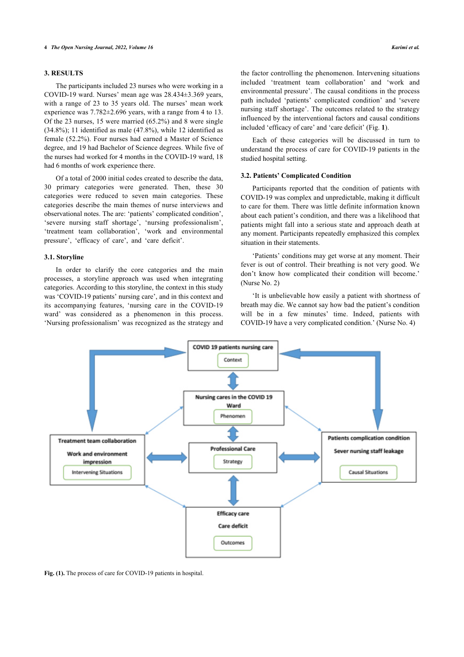# **3. RESULTS**

The participants included 23 nurses who were working in a COVID-19 ward. Nurses' mean age was 28.434±3.369 years, with a range of 23 to 35 years old. The nurses' mean work experience was 7.782±2.696 years, with a range from 4 to 13. Of the 23 nurses, 15 were married (65.2%) and 8 were single (34.8%); 11 identified as male (47.8%), while 12 identified as female (52.2%). Four nurses had earned a Master of Science degree, and 19 had Bachelor of Science degrees. While five of the nurses had worked for 4 months in the COVID-19 ward, 18 had 6 months of work experience there.

Of a total of 2000 initial codes created to describe the data, 30 primary categories were generated. Then, these 30 categories were reduced to seven main categories. These categories describe the main themes of nurse interviews and observational notes. The are: 'patients' complicated condition', 'severe nursing staff shortage', 'nursing professionalism', 'treatment team collaboration', 'work and environmental pressure', 'efficacy of care', and 'care deficit'.

# **3.1. Storyline**

In order to clarify the core categories and the main processes, a storyline approach was used when integrating categories. According to this storyline, the context in this study was 'COVID-19 patients' nursing care', and in this context and its accompanying features, 'nursing care in the COVID-19 ward' was considered as a phenomenon in this process. 'Nursing professionalism' was recognized as the strategy and

the factor controlling the phenomenon. Intervening situations included 'treatment team collaboration' and 'work and environmental pressure'. The causal conditions in the process path included 'patients' complicated condition' and 'severe nursing staff shortage'. The outcomes related to the strategy influenced by the interventional factors and causal conditions included 'efficacy of care' and 'care deficit' (Fig. **[1](#page-3-0)**).

Each of these categories will be discussed in turn to understand the process of care for COVID-19 patients in the studied hospital setting.

# **3.2. Patients' Complicated Condition**

Participants reported that the condition of patients with COVID-19 was complex and unpredictable, making it difficult to care for them. There was little definite information known about each patient's condition, and there was a likelihood that patients might fall into a serious state and approach death at any moment. Participants repeatedly emphasized this complex situation in their statements.

'Patients' conditions may get worse at any moment. Their fever is out of control. Their breathing is not very good. We don't know how complicated their condition will become.' (Nurse No. 2)

'It is unbelievable how easily a patient with shortness of breath may die. We cannot say how bad the patient's condition will be in a few minutes' time. Indeed, patients with COVID-19 have a very complicated condition.' (Nurse No. 4)

<span id="page-3-0"></span>

**Fig. (1).** The process of care for COVID-19 patients in hospital.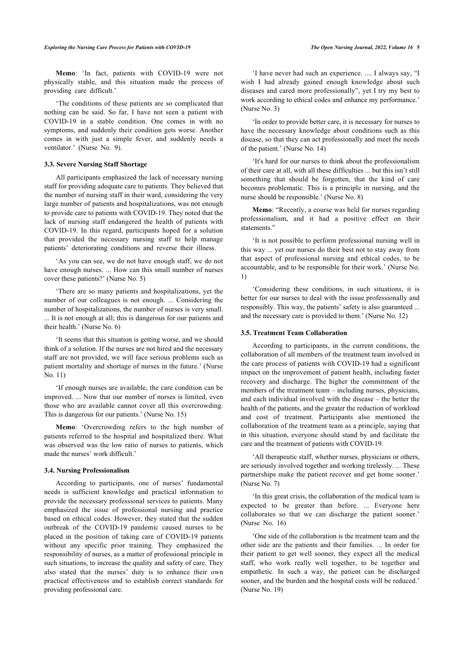**Memo**: 'In fact, patients with COVID-19 were not physically stable, and this situation made the process of providing care difficult.'

'The conditions of these patients are so complicated that nothing can be said. So far, I have not seen a patient with COVID-19 in a stable condition. One comes in with no symptoms, and suddenly their condition gets worse. Another comes in with just a simple fever, and suddenly needs a ventilator.' (Nurse No. 9).

# **3.3. Severe Nursing Staff Shortage**

All participants emphasized the lack of necessary nursing staff for providing adequate care to patients. They believed that the number of nursing staff in their ward, considering the very large number of patients and hospitalizations, was not enough to provide care to patients with COVID-19. They noted that the lack of nursing staff endangered the health of patients with COVID-19. In this regard, participants hoped for a solution that provided the necessary nursing staff to help manage patients' deteriorating conditions and reverse their illness.

'As you can see, we do not have enough staff, we do not have enough nurses. ... How can this small number of nurses cover these patients?' (Nurse No. 5)

'There are so many patients and hospitalizations, yet the number of our colleagues is not enough. ... Considering the number of hospitalizations, the number of nurses is very small. ... It is not enough at all; this is dangerous for our patients and their health.' (Nurse No. 6)

'It seems that this situation is getting worse, and we should think of a solution. If the nurses are not hired and the necessary staff are not provided, we will face serious problems such as patient mortality and shortage of nurses in the future.' (Nurse No. 11)

'If enough nurses are available, the care condition can be improved. ... Now that our number of nurses is limited, even those who are available cannot cover all this overcrowding. This is dangerous for our patients.' (Nurse No. 15)

**Memo**: 'Overcrowding refers to the high number of patients referred to the hospital and hospitalized there. What was observed was the low ratio of nurses to patients, which made the nurses' work difficult.'

#### **3.4. Nursing Professionalism**

According to participants, one of nurses' fundamental needs is sufficient knowledge and practical information to provide the necessary professional services to patients. Many emphasized the issue of professional nursing and practice based on ethical codes. However, they stated that the sudden outbreak of the COVID-19 pandemic caused nurses to be placed in the position of taking care of COVID-19 patients without any specific prior training. They emphasized the responsibility of nurses, as a matter of professional principle in such situations, to increase the quality and safety of care. They also stated that the nurses' duty is to enhance their own practical effectiveness and to establish correct standards for providing professional care.

'I have never had such an experience. .... I always say, "I wish I had already gained enough knowledge about such diseases and cared more professionally", yet I try my best to work according to ethical codes and enhance my performance.' (Nurse No. 3)

'In order to provide better care, it is necessary for nurses to have the necessary knowledge about conditions such as this disease, so that they can act professionally and meet the needs of the patient.' (Nurse No. 14)

'It's hard for our nurses to think about the professionalism of their care at all, with all these difficulties ... but this isn't still something that should be forgotten, that the kind of care becomes problematic. This is a principle in nursing, and the nurse should be responsible.' (Nurse No. 8)

**Memo**: "Recently, a course was held for nurses regarding professionalism, and it had a positive effect on their statements<sup>"</sup>

'It is not possible to perform professional nursing well in this way ... yet our nurses do their best not to stay away from that aspect of professional nursing and ethical codes, to be accountable, and to be responsible for their work.' (Nurse No. 1)

'Considering these conditions, in such situations, it is better for our nurses to deal with the issue professionally and responsibly. This way, the patients' safety is also guaranteed ... and the necessary care is provided to them.' (Nurse No. 12)

# **3.5. Treatment Team Collaboration**

According to participants, in the current conditions, the collaboration of all members of the treatment team involved in the care process of patients with COVID-19 had a significant impact on the improvement of patient health, including faster recovery and discharge. The higher the commitment of the members of the treatment team – including nurses, physicians, and each individual involved with the disease – the better the health of the patients, and the greater the reduction of workload and cost of treatment. Participants also mentioned the collaboration of the treatment team as a principle, saying that in this situation, everyone should stand by and facilitate the care and the treatment of patients with COVID-19.

'All therapeutic staff, whether nurses, physicians or others, are seriously involved together and working tirelessly. ... These partnerships make the patient recover and get home sooner.' (Nurse No. 7)

'In this great crisis, the collaboration of the medical team is expected to be greater than before. ... Everyone here collaborates so that we can discharge the patient sooner.' (Nurse No. 16)

'One side of the collaboration is the treatment team and the other side are the patients and their families. ... In order for their patient to get well sooner, they expect all the medical staff, who work really well together, to be together and empathetic. In such a way, the patient can be discharged sooner, and the burden and the hospital costs will be reduced.' (Nurse No. 19)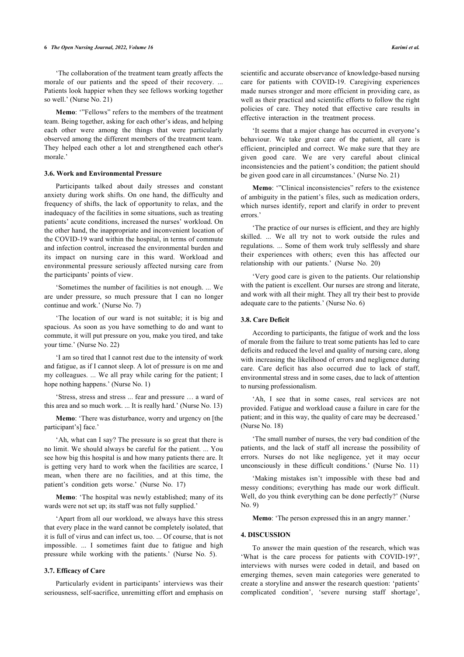#### **6** *The Open Nursing Journal, 2022, Volume 16 Karimi et al.*

'The collaboration of the treatment team greatly affects the morale of our patients and the speed of their recovery. ... Patients look happier when they see fellows working together so well.' (Nurse No. 21)

**Memo**: '"Fellows" refers to the members of the treatment team. Being together, asking for each other's ideas, and helping each other were among the things that were particularly observed among the different members of the treatment team. They helped each other a lot and strengthened each other's morale.'

#### **3.6. Work and Environmental Pressure**

Participants talked about daily stresses and constant anxiety during work shifts. On one hand, the difficulty and frequency of shifts, the lack of opportunity to relax, and the inadequacy of the facilities in some situations, such as treating patients' acute conditions, increased the nurses' workload. On the other hand, the inappropriate and inconvenient location of the COVID-19 ward within the hospital, in terms of commute and infection control, increased the environmental burden and its impact on nursing care in this ward. Workload and environmental pressure seriously affected nursing care from the participants' points of view.

'Sometimes the number of facilities is not enough. ... We are under pressure, so much pressure that I can no longer continue and work.' (Nurse No. 7)

'The location of our ward is not suitable; it is big and spacious. As soon as you have something to do and want to commute, it will put pressure on you, make you tired, and take your time.' (Nurse No. 22)

'I am so tired that I cannot rest due to the intensity of work and fatigue, as if I cannot sleep. A lot of pressure is on me and my colleagues. ... We all pray while caring for the patient; I hope nothing happens.' (Nurse No. 1)

'Stress, stress and stress ... fear and pressure … a ward of this area and so much work. ... It is really hard.' (Nurse No. 13)

**Memo**: 'There was disturbance, worry and urgency on [the participant's] face.'

'Ah, what can I say? The pressure is so great that there is no limit. We should always be careful for the patient. ... You see how big this hospital is and how many patients there are. It is getting very hard to work when the facilities are scarce, I mean, when there are no facilities, and at this time, the patient's condition gets worse.' (Nurse No. 17)

**Memo**: 'The hospital was newly established; many of its wards were not set up; its staff was not fully supplied.'

'Apart from all our workload, we always have this stress that every place in the ward cannot be completely isolated, that it is full of virus and can infect us, too. ... Of course, that is not impossible. ... I sometimes faint due to fatigue and high pressure while working with the patients.' (Nurse No. 5).

#### **3.7. Efficacy of Care**

Particularly evident in participants' interviews was their seriousness, self-sacrifice, unremitting effort and emphasis on scientific and accurate observance of knowledge-based nursing care for patients with COVID-19. Caregiving experiences made nurses stronger and more efficient in providing care, as well as their practical and scientific efforts to follow the right policies of care. They noted that effective care results in effective interaction in the treatment process.

'It seems that a major change has occurred in everyone's behaviour. We take great care of the patient, all care is efficient, principled and correct. We make sure that they are given good care. We are very careful about clinical inconsistencies and the patient's condition; the patient should be given good care in all circumstances.' (Nurse No. 21)

**Memo**: '"Clinical inconsistencies" refers to the existence of ambiguity in the patient's files, such as medication orders, which nurses identify, report and clarify in order to prevent errors.'

'The practice of our nurses is efficient, and they are highly skilled. ... We all try not to work outside the rules and regulations. ... Some of them work truly selflessly and share their experiences with others; even this has affected our relationship with our patients.' (Nurse No. 20)

'Very good care is given to the patients. Our relationship with the patient is excellent. Our nurses are strong and literate, and work with all their might. They all try their best to provide adequate care to the patients.' (Nurse No. 6)

# **3.8. Care Deficit**

According to participants, the fatigue of work and the loss of morale from the failure to treat some patients has led to care deficits and reduced the level and quality of nursing care, along with increasing the likelihood of errors and negligence during care. Care deficit has also occurred due to lack of staff, environmental stress and in some cases, due to lack of attention to nursing professionalism.

'Ah, I see that in some cases, real services are not provided. Fatigue and workload cause a failure in care for the patient; and in this way, the quality of care may be decreased.' (Nurse No. 18)

'The small number of nurses, the very bad condition of the patients, and the lack of staff all increase the possibility of errors. Nurses do not like negligence, yet it may occur unconsciously in these difficult conditions.' (Nurse No. 11)

'Making mistakes isn't impossible with these bad and messy conditions; everything has made our work difficult. Well, do you think everything can be done perfectly?' (Nurse No. 9)

**Memo**: 'The person expressed this in an angry manner.'

# **4. DISCUSSION**

To answer the main question of the research, which was 'What is the care process for patients with COVID-19?', interviews with nurses were coded in detail, and based on emerging themes, seven main categories were generated to create a storyline and answer the research question: 'patients' complicated condition', 'severe nursing staff shortage',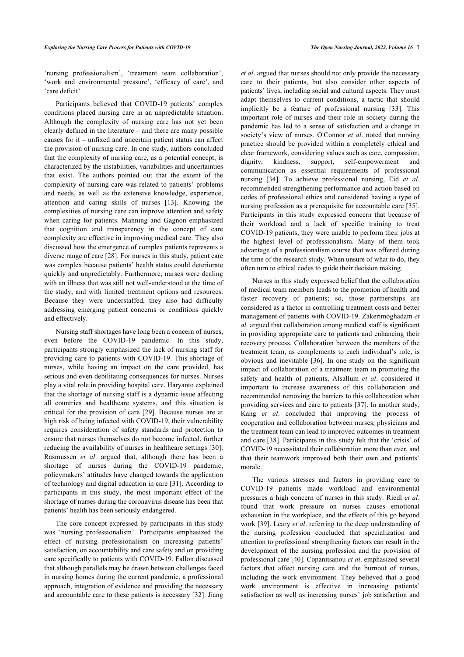'nursing professionalism', 'treatment team collaboration', 'work and environmental pressure', 'efficacy of care', and 'care deficit'.

Participants believed that COVID-19 patients' complex conditions placed nursing care in an unpredictable situation. Although the complexity of nursing care has not yet been clearly defined in the literature – and there are many possible causes for it – unfixed and uncertain patient status can affect the provision of nursing care. In one study, authors concluded that the complexity of nursing care, as a potential concept, is characterized by the instabilities, variabilities and uncertainties that exist. The authors pointed out that the extent of the complexity of nursing care was related to patients' problems and needs, as well as the extensive knowledge, experience, attention and caring skills of nurses[[13\]](#page-8-12). Knowing the complexities of nursing care can improve attention and safety when caring for patients. Manning and Gagnon emphasized that cognition and transparency in the concept of care complexity are effective in improving medical care. They also discussed how the emergence of complex patients represents a diverse range of care [[28](#page-8-27)]. For nurses in this study, patient care was complex because patients' health status could deteriorate quickly and unpredictably. Furthermore, nurses were dealing with an illness that was still not well-understood at the time of the study, and with limited treatment options and resources. Because they were understaffed, they also had difficulty addressing emerging patient concerns or conditions quickly and effectively.

Nursing staff shortages have long been a concern of nurses, even before the COVID-19 pandemic. In this study, participants strongly emphasized the lack of nursing staff for providing care to patients with COVID-19. This shortage of nurses, while having an impact on the care provided, has serious and even debilitating consequences for nurses. Nurses play a vital role in providing hospital care. Haryanto explained that the shortage of nursing staff is a dynamic issue affecting all countries and healthcare systems, and this situation is critical for the provision of care [[29](#page-8-28)]. Because nurses are at high risk of being infected with COVID-19, their vulnerability requires consideration of safety standards and protection to ensure that nurses themselves do not become infected, further reducing the availability of nurses in healthcare settings [[30\]](#page-8-29). Rasmussen *et al*. argued that, although there has been a shortage of nurses during the COVID-19 pandemic, policymakers' attitudes have changed towards the application of technology and digital education in care [[31](#page-8-30)]. According to participants in this study, the most important effect of the shortage of nurses during the coronavirus disease has been that patients' health has been seriously endangered.

The core concept expressed by participants in this study was 'nursing professionalism'. Participants emphasized the effect of nursing professionalism on increasing patients' satisfaction, on accountability and care safety and on providing care specifically to patients with COVID-19. Fallon discussed that although parallels may be drawn between challenges faced in nursing homes during the current pandemic, a professional approach, integration of evidence and providing the necessary and accountable care to these patients is necessary [[32\]](#page-8-31). Jiang *et al*. argued that nurses should not only provide the necessary care to their patients, but also consider other aspects of patients' lives, including social and cultural aspects. They must adapt themselves to current conditions, a tactic that should implicitly be a feature of professional nursing[[33\]](#page-8-32). This important role of nurses and their role in society during the pandemic has led to a sense of satisfaction and a change in society's view of nurses. O'Connor *et al*. noted that nursing practice should be provided within a completely ethical and clear framework, considering values such as care, compassion, dignity, kindness, support, self-empowerment and communication as essential requirements of professional nursing[[34](#page-8-33)]. To achieve professional nursing, Eid *et al*. recommended strengthening performance and action based on codes of professional ethics and considered having a type of nursing profession as a prerequisite for accountable care [\[35](#page-8-34)]. Participants in this study expressed concern that because of their workload and a lack of specific training to treat COVID-19 patients, they were unable to perform their jobs at the highest level of professionalism. Many of them took advantage of a professionalism course that was offered during the time of the research study. When unsure of what to do, they often turn to ethical codes to guide their decision making.

Nurses in this study expressed belief that the collaboration of medical team members leads to the promotion of health and faster recovery of patients; so, those partnerships are considered as a factor in controlling treatment costs and better management of patients with COVID-19. Zakerimoghadam *et al*. argued that collaboration among medical staff is significant in providing appropriate care to patients and enhancing their recovery process. Collaboration between the members of the treatment team, as complements to each individual's role, is obvious and inevitable[[36](#page-8-35)]. In one study on the significant impact of collaboration of a treatment team in promoting the safety and health of patients, Alsallum *et al*. considered it important to increase awareness of this collaboration and recommended removing the barriers to this collaboration when providing services and care to patients [\[37\]](#page-8-36). In another study, Kang *et al*. concluded that improving the process of cooperation and collaboration between nurses, physicians and the treatment team can lead to improved outcomes in treatment and care [[38](#page-8-37)]. Participants in this study felt that the 'crisis' of COVID-19 necessitated their collaboration more than ever, and that their teamwork improved both their own and patients' morale.

The various stresses and factors in providing care to COVID-19 patients made workload and environmental pressures a high concern of nurses in this study. Riedl *et al*. found that work pressure on nurses causes emotional exhaustion in the workplace, and the effects of this go beyond work [[39\]](#page-8-38). Leary *et al*. referring to the deep understanding of the nursing profession concluded that specialization and attention to professional strengthening factors can result in the development of the nursing profession and the provision of professional care [[40\]](#page-8-39). Copanitsanou *et al*. emphasized several factors that affect nursing care and the burnout of nurses, including the work environment. They believed that a good work environment is effective in increasing patients' satisfaction as well as increasing nurses' job satisfaction and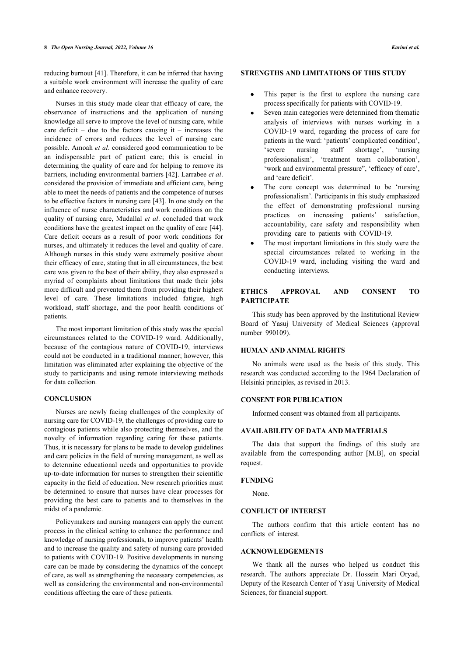#### **8** *The Open Nursing Journal, 2022, Volume 16 Karimi et al.*

reducing burnout [\[41](#page-9-0)]. Therefore, it can be inferred that having a suitable work environment will increase the quality of care and enhance recovery.

Nurses in this study made clear that efficacy of care, the observance of instructions and the application of nursing knowledge all serve to improve the level of nursing care, while care deficit – due to the factors causing it – increases the incidence of errors and reduces the level of nursing care possible. Amoah *et al*. considered good communication to be an indispensable part of patient care; this is crucial in determining the quality of care and for helping to remove its barriers, including environmental barriers [[42\]](#page-9-1). Larrabee *et al*. considered the provision of immediate and efficient care, being able to meet the needs of patients and the competence of nurses to be effective factors in nursing care [[43](#page-9-2)]. In one study on the influence of nurse characteristics and work conditions on the quality of nursing care, Mudallal *et al*. concluded that work conditions have the greatest impact on the quality of care [[44](#page-9-1)]. Care deficit occurs as a result of poor work conditions for nurses, and ultimately it reduces the level and quality of care. Although nurses in this study were extremely positive about their efficacy of care, stating that in all circumstances, the best care was given to the best of their ability, they also expressed a myriad of complaints about limitations that made their jobs more difficult and prevented them from providing their highest level of care. These limitations included fatigue, high workload, staff shortage, and the poor health conditions of patients.

The most important limitation of this study was the special circumstances related to the COVID-19 ward. Additionally, because of the contagious nature of COVID-19, interviews could not be conducted in a traditional manner; however, this limitation was eliminated after explaining the objective of the study to participants and using remote interviewing methods for data collection.

# **CONCLUSION**

Nurses are newly facing challenges of the complexity of nursing care for COVID-19, the challenges of providing care to contagious patients while also protecting themselves, and the novelty of information regarding caring for these patients. Thus, it is necessary for plans to be made to develop guidelines and care policies in the field of nursing management, as well as to determine educational needs and opportunities to provide up-to-date information for nurses to strengthen their scientific capacity in the field of education. New research priorities must be determined to ensure that nurses have clear processes for providing the best care to patients and to themselves in the midst of a pandemic.

Policymakers and nursing managers can apply the current process in the clinical setting to enhance the performance and knowledge of nursing professionals, to improve patients' health and to increase the quality and safety of nursing care provided to patients with COVID-19. Positive developments in nursing care can be made by considering the dynamics of the concept of care, as well as strengthening the necessary competencies, as well as considering the environmental and non-environmental conditions affecting the care of these patients.

# **STRENGTHS AND LIMITATIONS OF THIS STUDY**

- This paper is the first to explore the nursing care process specifically for patients with COVID-19.
- Seven main categories were determined from thematic analysis of interviews with nurses working in a COVID-19 ward, regarding the process of care for patients in the ward: 'patients' complicated condition', 'severe nursing staff shortage', 'nursing professionalism', 'treatment team collaboration', 'work and environmental pressure", 'efficacy of care', and 'care deficit'.
- The core concept was determined to be 'nursing professionalism'. Participants in this study emphasized the effect of demonstrating professional nursing practices on increasing patients' satisfaction, accountability, care safety and responsibility when providing care to patients with COVID-19.
- The most important limitations in this study were the special circumstances related to working in the COVID-19 ward, including visiting the ward and conducting interviews.

# **ETHICS APPROVAL AND CONSENT TO PARTICIPATE**

This study has been approved by the Institutional Review Board of Yasuj University of Medical Sciences (approval number 990109).

#### **HUMAN AND ANIMAL RIGHTS**

No animals were used as the basis of this study. This research was conducted according to the 1964 Declaration of Helsinki principles, as revised in 2013.

# **CONSENT FOR PUBLICATION**

Informed consent was obtained from all participants.

# **AVAILABILITY OF DATA AND MATERIALS**

The data that support the findings of this study are available from the corresponding author [M.B], on special request.

#### **FUNDING**

None.

# **CONFLICT OF INTEREST**

The authors confirm that this article content has no conflicts of interest.

# **ACKNOWLEDGEMENTS**

We thank all the nurses who helped us conduct this research. The authors appreciate Dr. Hossein Mari Oryad, Deputy of the Research Center of Yasuj University of Medical Sciences, for financial support.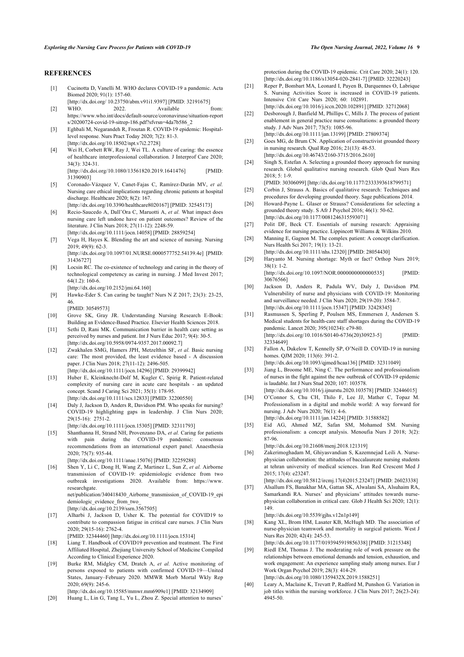#### <span id="page-8-20"></span><span id="page-8-0"></span>**REFERENCES**

- [1] Cucinotta D, Vanelli M. WHO declares COVID-19 a pandemic. Acta Biomed 2020; 91(1): 157-60.
- <span id="page-8-1"></span>[\[http://dx.doi.org/ 10.23750/abm.v91i1.9397\]](http://dx.doi.org/%2010.23750/abm.v91i1.9397) [PMID: [32191675\]](http://www.ncbi.nlm.nih.gov/pubmed/32191675) [2] WHO. 2022. Available from: [https://www.who.int/docs/default-source/coronaviruse/situation-report](https://www.who.int/docs/default-source/coronaviruse/situation-reports/20200724-covid-19-sitrep-186.pdf?sfvrsn=4da7b586_2)
- <span id="page-8-21"></span><span id="page-8-2"></span>[s/20200724-covid-19-sitrep-186.pdf?sfvrsn=4da7b586\\_2](https://www.who.int/docs/default-source/coronaviruse/situation-reports/20200724-covid-19-sitrep-186.pdf?sfvrsn=4da7b586_2) [3] Eghbali M, Negarandeh R, Froutan R. COVID-19 epidemic: Hospitallevel response. Nurs Pract Today 2020; 7(2): 81-3.
- <span id="page-8-22"></span><span id="page-8-3"></span>[\[http://dx.doi.org/10.18502/npt.v7i2.2728\]](http://dx.doi.org/10.18502/npt.v7i2.2728) [4] Wei H, Corbett RW, Ray J, Wei TL. A culture of caring: the essence
- <span id="page-8-23"></span>of healthcare interprofessional collaboration. J Interprof Care 2020; 34(3): 324-31. [\[http://dx.doi.org/10.1080/13561820.2019.1641476\]](http://dx.doi.org/10.1080/13561820.2019.1641476) [PMID:
- <span id="page-8-4"></span>[31390903\]](http://www.ncbi.nlm.nih.gov/pubmed/31390903) [5] Coronado-Vázquez V, Canet-Fajas C, Ramírez-Durán MV, *et al.*
- <span id="page-8-24"></span>Nursing care ethical implications regarding chronic patients at hospital discharge. Healthcare 2020; 8(2): 167. [\[http://dx.doi.org/10.3390/healthcare8020167](http://dx.doi.org/10.3390/healthcare8020167)] [PMID: [32545173](http://www.ncbi.nlm.nih.gov/pubmed/32545173)]
- <span id="page-8-25"></span><span id="page-8-5"></span>[6] Recio-Saucedo A, Dall'Ora C, Maruotti A, *et al.* What impact does nursing care left undone have on patient outcomes? Review of the literature. J Clin Nurs 2018; 27(11-12): 2248-59.
- <span id="page-8-27"></span><span id="page-8-26"></span><span id="page-8-6"></span>[\[http://dx.doi.org/10.1111/jocn.14058](http://dx.doi.org/10.1111/jocn.14058)] [PMID: [28859254](http://www.ncbi.nlm.nih.gov/pubmed/28859254)] [7] Vega H, Hayes K. Blending the art and science of nursing. Nursing

2019; 49(9): 62-3. [\[http://dx.doi.org/10.1097/01.NURSE.0000577752.54139.4e\]](http://dx.doi.org/10.1097/01.NURSE.0000577752.54139.4e) [PMID: [31436727\]](http://www.ncbi.nlm.nih.gov/pubmed/31436727)

- <span id="page-8-28"></span><span id="page-8-7"></span>[8] Locsin RC. The co-existence of technology and caring in the theory of technological competency as caring in nursing. J Med Invest 2017;  $64(1.2): 160-6.$ [\[http://dx.doi.org/10.2152/jmi.64.160\]](http://dx.doi.org/10.2152/jmi.64.160)
- <span id="page-8-29"></span><span id="page-8-8"></span>[9] Hawke-Eder S. Can caring be taught? Nurs N Z 2017; 23(3): 23-25, 46.
	- [PMID: [30549573](http://www.ncbi.nlm.nih.gov/pubmed/30549573)]
- <span id="page-8-30"></span><span id="page-8-9"></span>[10] Grove SK, Gray JR. Understanding Nursing Research E-Book: Building an Evidence-Based Practice. Elsevier Health Sciences 2018.
- <span id="page-8-10"></span>[11] Sethi D, Rani MK. Communication barrier in health care setting as perceived by nurses and patient. Int J Nurs Educ 2017; 9(4): 30-5. [\[http://dx.doi.org/10.5958/0974-9357.2017.00092.7\]](http://dx.doi.org/10.5958/0974-9357.2017.00092.7)
- <span id="page-8-31"></span><span id="page-8-11"></span>[12] Zwakhalen SMG, Hamers JPH, Metzelthin SF, *et al.* Basic nursing care: The most provided, the least evidence based - A discussion paper. J Clin Nurs 2018; 27(11-12): 2496-505. [\[http://dx.doi.org/10.1111/jocn.14296](http://dx.doi.org/10.1111/jocn.14296)] [PMID: [29399942](http://www.ncbi.nlm.nih.gov/pubmed/29399942)]
- <span id="page-8-32"></span><span id="page-8-12"></span>[13] Huber E, Kleinknecht-Dolf M, Kugler C, Spirig R. Patient-related complexity of nursing care in acute care hospitals - an updated concept. Scand J Caring Sci 2021; 35(1): 178-95. [\[http://dx.doi.org/10.1111/scs.12833\]](http://dx.doi.org/10.1111/scs.12833) [PMID: [32200550\]](http://www.ncbi.nlm.nih.gov/pubmed/32200550)
- <span id="page-8-33"></span><span id="page-8-13"></span>[14] Daly J, Jackson D, Anders R, Davidson PM. Who speaks for nursing? COVID-19 highlighting gaps in leadership. J Clin Nurs 2020; 29(15-16): 2751-2.

[\[http://dx.doi.org/10.1111/jocn.15305](http://dx.doi.org/10.1111/jocn.15305)] [PMID: [32311793](http://www.ncbi.nlm.nih.gov/pubmed/32311793)]

- <span id="page-8-34"></span><span id="page-8-14"></span>[15] Shanthanna H, Strand NH, Provenzano DA, *et al.* Caring for patients with pain during the COVID-19 pandemic: consensus recommendations from an international expert panel. Anaesthesia 2020; 75(7): 935-44. [\[http://dx.doi.org/10.1111/anae.15076](http://dx.doi.org/10.1111/anae.15076)] [PMID: [32259288\]](http://www.ncbi.nlm.nih.gov/pubmed/32259288)
- <span id="page-8-35"></span><span id="page-8-15"></span>[16] Shen Y, Li C, Dong H, Wang Z, Martinez L, Sun Z, *et al.* Airborne
- <span id="page-8-36"></span>transmission of COVID-19: epidemiologic evidence from two outbreak investigations 2020. Available from: [https://www.](https://www.researchgate.net/publication/340418430_Airborne_transmission_of_COVID-19_epidemiologic_evidence_from_two_) [researchgate.](https://www.researchgate.net/publication/340418430_Airborne_transmission_of_COVID-19_epidemiologic_evidence_from_two_) [net/publication/340418430\\_Airborne\\_transmission\\_of\\_COVID-19\\_epi](https://www.researchgate.net/publication/340418430_Airborne_transmission_of_COVID-19_epidemiologic_evidence_from_two_)

demiologic\_evidence\_from\_two [\[http://dx.doi.org/10.2139/ssrn.3567505\]](http://dx.doi.org/10.2139/ssrn.3567505)

<span id="page-8-37"></span><span id="page-8-16"></span>[17] Alharbi J, Jackson D, Usher K. The potential for COVID19 to contribute to compassion fatigue in critical care nurses. J Clin Nurs 2020; 29(15-16): 2762-4.

[PMID: [32344460](http://www.ncbi.nlm.nih.gov/pubmed/32344460)] [<http://dx.doi.org/10.1111/jocn.15314>]

- <span id="page-8-38"></span><span id="page-8-17"></span>[18] Liang T. Handbook of COVID19 prevention and treatment. The First Affiliated Hospital, Zhejiang University School of Medicine Compiled According to Clinical Experience 2020.
- <span id="page-8-18"></span>[19] Burke RM, Midgley CM, Dratch A, *et al.* Active monitoring of persons exposed to patients with confirmed COVID-19—United States, January–February 2020. MMWR Morb Mortal Wkly Rep 2020; 69(9): 245-6.

[\[http://dx.doi.org/10.15585/mmwr.mm6909e1](http://dx.doi.org/10.15585/mmwr.mm6909e1)] [PMID: [32134909\]](http://www.ncbi.nlm.nih.gov/pubmed/32134909)

<span id="page-8-39"></span><span id="page-8-19"></span>[20] Huang L, Lin G, Tang L, Yu L, Zhou Z. Special attention to nurses'

protection during the COVID-19 epidemic. Crit Care 2020; 24(1): 120. [\[http://dx.doi.org/10.1186/s13054-020-2841-7\]](http://dx.doi.org/10.1186/s13054-020-2841-7) [PMID: [32220243](http://www.ncbi.nlm.nih.gov/pubmed/32220243)]

- [21] Reper P, Bombart MA, Leonard I, Payen B, Darquennes O, Labrique S. Nursing Activities Score is increased in COVID-19 patients. Intensive Crit Care Nurs 2020; 60: 102891. [\[http://dx.doi.org/10.1016/j.iccn.2020.102891](http://dx.doi.org/10.1016/j.iccn.2020.102891)] [PMID: [32712068\]](http://www.ncbi.nlm.nih.gov/pubmed/32712068)
- [22] Desborough J, Banfield M, Phillips C, Mills J. The process of patient enablement in general practice nurse consultations: a grounded theory study. J Adv Nurs 2017; 73(5): 1085-96. [\[http://dx.doi.org/10.1111/jan.13199](http://dx.doi.org/10.1111/jan.13199)] [PMID: [27809374\]](http://www.ncbi.nlm.nih.gov/pubmed/27809374)
- [23] Goes MG, de Brum CN. Application of constructivist grounded theory in nursing research. Qual Rep 2016; 21(13): 48-53. [\[http://dx.doi.org/10.46743/2160-3715/2016.2610\]](http://dx.doi.org/10.46743/2160-3715/2016.2610)
- [24] Singh S, Estefan A. Selecting a grounded theory approach for nursing research. Global qualitative nursing research. Glob Qual Nurs Res  $2018: 5: 1-9.$
- [PMID: [30306099\]](http://www.ncbi.nlm.nih.gov/pubmed/30306099) [<http://dx.doi.org/10.1177/2333393618799571>] [25] Corbin J, Strauss A. Basics of qualitative research: Techniques and
- procedures for developing grounded theory. Sage publications 2014. [26] Howard-Payne L. Glaser or Strauss? Considerations for selecting a
- grounded theory study. S Afr J Psychol 2016; 46(1): 50-62. [\[http://dx.doi.org/10.1177/0081246315593071](http://dx.doi.org/10.1177/0081246315593071)] [27] Polit DF, Beck CT. Essentials of nursing research: Appraising
- evidence for nursing practice. Lippincott Williams & Wilkins 2010.
- [28] Manning E, Gagnon M. The complex patient: A concept clarification. Nurs Health Sci 2017; 19(1): 13-21.
- [\[http://dx.doi.org/10.1111/nhs.12320](http://dx.doi.org/10.1111/nhs.12320)] [PMID: [28054430](http://www.ncbi.nlm.nih.gov/pubmed/28054430)] [29] Haryanto M. Nursing shortage: Myth or fact? Orthop Nurs 2019; 38(1): 1-2.
- [\[http://dx.doi.org/10.1097/NOR.0000000000000535\]](http://dx.doi.org/10.1097/NOR.0000000000000535) [PMID: [30676566\]](http://www.ncbi.nlm.nih.gov/pubmed/30676566)
- [30] Jackson D, Anders R, Padula WV, Daly J, Davidson PM. Vulnerability of nurse and physicians with COVID-19: Monitoring and surveillance needed. J Clin Nurs 2020; 29(19-20): 3584-7. [\[http://dx.doi.org/10.1111/jocn.15347\]](http://dx.doi.org/10.1111/jocn.15347) [PMID: [32428345](http://www.ncbi.nlm.nih.gov/pubmed/32428345)]
- [31] Rasmussen S, Sperling P, Poulsen MS, Emmersen J, Andersen S. Medical students for health-care staff shortages during the COVID-19 pandemic. Lancet 2020; 395(10234): e79-80. [\[http://dx.doi.org/10.1016/S0140-6736\(20\)30923-5](http://dx.doi.org/10.1016/S0140-6736(20)30923-5)] [PMID: [32334649\]](http://www.ncbi.nlm.nih.gov/pubmed/32334649)
- [32] Fallon A, Dukelow T, Kennelly SP, O'Neill D. COVID-19 in nursing homes. OJM 2020; 113(6): 391-2.

[\[http://dx.doi.org/10.1093/qjmed/hcaa136](http://dx.doi.org/10.1093/qjmed/hcaa136)] [PMID: [32311049\]](http://www.ncbi.nlm.nih.gov/pubmed/32311049)

- [33] Jiang L, Broome ME, Ning C. The performance and professionalism of nurses in the fight against the new outbreak of COVID-19 epidemic is laudable. Int J Nurs Stud 2020; 107: 103578.
- [\[http://dx.doi.org/10.1016/j.ijnurstu.2020.103578](http://dx.doi.org/10.1016/j.ijnurstu.2020.103578)] [PMID: [32446015\]](http://www.ncbi.nlm.nih.gov/pubmed/32446015) [34] O'Connor S, Chu CH, Thilo F, Lee JJ, Mather C, Topaz M. Professionalism in a digital and mobile world: A way forward for
	- nursing. J Adv Nurs 2020; 76(1): 4-6. [\[http://dx.doi.org/10.1111/jan.14224](http://dx.doi.org/10.1111/jan.14224)] [PMID: [31588582\]](http://www.ncbi.nlm.nih.gov/pubmed/31588582)
- [35] Eid AG, Ahmed MZ, Safan SM, Mohamed SM. Nursing professionalism: a concept analysis. Menoufia Nurs J 2018; 3(2): 87-96.

[\[http://dx.doi.org/10.21608/menj.2018.121319](http://dx.doi.org/10.21608/menj.2018.121319)]

[36] Zakerimoghadam M, Ghiyasvandian S, Kazemnejad Leili A. Nursephysician collaboration: the attitudes of baccalaureate nursing students at tehran university of medical sciences. Iran Red Crescent Med J 2015; 17(4): e23247.

[\[http://dx.doi.org/10.5812/ircmj.17\(4\)2015.23247](http://dx.doi.org/10.5812/ircmj.17(4)2015.23247)] [PMID: [26023338](http://www.ncbi.nlm.nih.gov/pubmed/26023338)] [37] Alsallum FS, Banakhar MA, Gattan SK, Alwalani SA, Alsuhaim RA,

Samarkandi RA. Nurses' and physicians' attitudes towards nursephysician collaboration in critical care. Glob J Health Sci 2020; 12(1): 149.

[\[http://dx.doi.org/10.5539/gjhs.v12n1p149](http://dx.doi.org/10.5539/gjhs.v12n1p149)]

[38] Kang XL, Brom HM, Lasater KB, McHugh MD, The association of nurse-physician teamwork and mortality in surgical patients. West J Nurs Res 2020; 42(4): 245-53.

[\[http://dx.doi.org/10.1177/0193945919856338](http://dx.doi.org/10.1177/0193945919856338)] [PMID: [31215348](http://www.ncbi.nlm.nih.gov/pubmed/31215348)]

[39] Riedl EM, Thomas J. The moderating role of work pressure on the relationships between emotional demands and tension, exhaustion, and work engagement: An experience sampling study among nurses. Eur J Work Organ Psychol 2019; 28(3): 414-29.

[\[http://dx.doi.org/10.1080/1359432X.2019.1588251](http://dx.doi.org/10.1080/1359432X.2019.1588251)]

[40] Leary A, Maclaine K, Trevatt P, Radford M, Punshon G. Variation in job titles within the nursing workforce. J Clin Nurs 2017; 26(23-24): 4945-50.